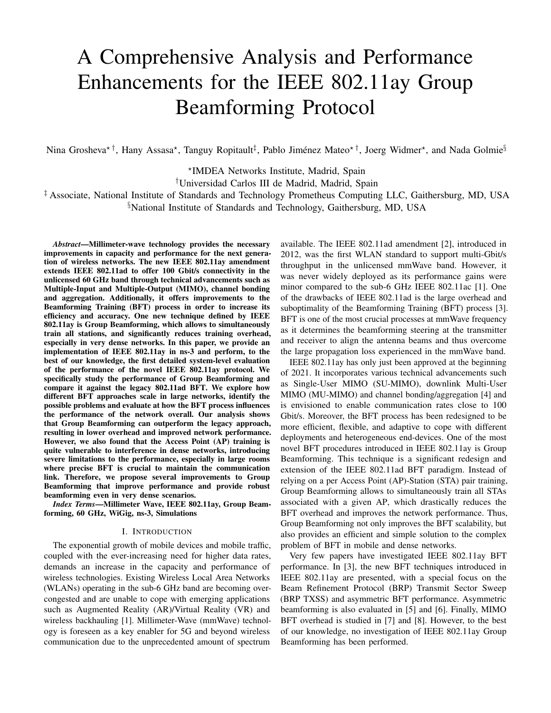# A Comprehensive Analysis and Performance Enhancements for the IEEE 802.11ay Group Beamforming Protocol

Nina Grosheva\*†, Hany Assasa\*, Tanguy Ropitault‡, Pablo Jiménez Mateo\*†, Joerg Widmer\*, and Nada Golmie§

⋆ IMDEA Networks Institute, Madrid, Spain

†Universidad Carlos III de Madrid, Madrid, Spain

‡ Associate, National Institute of Standards and Technology Prometheus Computing LLC, Gaithersburg, MD, USA §National Institute of Standards and Technology, Gaithersburg, MD, USA

*Abstract*—Millimeter-wave technology provides the necessary improvements in capacity and performance for the next generation of wireless networks. The new IEEE 802.11ay amendment extends IEEE 802.11ad to offer 100 Gbit/s connectivity in the unlicensed 60 GHz band through technical advancements such as Multiple-Input and Multiple-Output (MIMO), channel bonding and aggregation. Additionally, it offers improvements to the Beamforming Training (BFT) process in order to increase its efficiency and accuracy. One new technique defined by IEEE 802.11ay is Group Beamforming, which allows to simultaneously train all stations, and significantly reduces training overhead, especially in very dense networks. In this paper, we provide an implementation of IEEE 802.11ay in ns-3 and perform, to the best of our knowledge, the first detailed system-level evaluation of the performance of the novel IEEE 802.11ay protocol. We specifically study the performance of Group Beamforming and compare it against the legacy 802.11ad BFT. We explore how different BFT approaches scale in large networks, identify the possible problems and evaluate at how the BFT process influences the performance of the network overall. Our analysis shows that Group Beamforming can outperform the legacy approach, resulting in lower overhead and improved network performance. However, we also found that the Access Point (AP) training is quite vulnerable to interference in dense networks, introducing severe limitations to the performance, especially in large rooms where precise BFT is crucial to maintain the communication link. Therefore, we propose several improvements to Group Beamforming that improve performance and provide robust beamforming even in very dense scenarios.

*Index Terms*—Millimeter Wave, IEEE 802.11ay, Group Beamforming, 60 GHz, WiGig, ns-3, Simulations

#### I. INTRODUCTION

The exponential growth of mobile devices and mobile traffic, coupled with the ever-increasing need for higher data rates, demands an increase in the capacity and performance of wireless technologies. Existing Wireless Local Area Networks (WLANs) operating in the sub-6 GHz band are becoming overcongested and are unable to cope with emerging applications such as Augmented Reality (AR)/Virtual Reality (VR) and wireless backhauling [1]. Millimeter-Wave (mmWave) technology is foreseen as a key enabler for 5G and beyond wireless communication due to the unprecedented amount of spectrum

available. The IEEE 802.11ad amendment [2], introduced in 2012, was the first WLAN standard to support multi-Gbit/s throughput in the unlicensed mmWave band. However, it was never widely deployed as its performance gains were minor compared to the sub-6 GHz IEEE 802.11ac [1]. One of the drawbacks of IEEE 802.11ad is the large overhead and suboptimality of the Beamforming Training (BFT) process [3]. BFT is one of the most crucial processes at mmWave frequency as it determines the beamforming steering at the transmitter and receiver to align the antenna beams and thus overcome the large propagation loss experienced in the mmWave band.

IEEE 802.11ay has only just been approved at the beginning of 2021. It incorporates various technical advancements such as Single-User MIMO (SU-MIMO), downlink Multi-User MIMO (MU-MIMO) and channel bonding/aggregation [4] and is envisioned to enable communication rates close to 100 Gbit/s. Moreover, the BFT process has been redesigned to be more efficient, flexible, and adaptive to cope with different deployments and heterogeneous end-devices. One of the most novel BFT procedures introduced in IEEE 802.11ay is Group Beamforming. This technique is a significant redesign and extension of the IEEE 802.11ad BFT paradigm. Instead of relying on a per Access Point (AP)-Station (STA) pair training, Group Beamforming allows to simultaneously train all STAs associated with a given AP, which drastically reduces the BFT overhead and improves the network performance. Thus, Group Beamforming not only improves the BFT scalability, but also provides an efficient and simple solution to the complex problem of BFT in mobile and dense networks.

Very few papers have investigated IEEE 802.11ay BFT performance. In [3], the new BFT techniques introduced in IEEE 802.11ay are presented, with a special focus on the Beam Refinement Protocol (BRP) Transmit Sector Sweep (BRP TXSS) and asymmetric BFT performance. Asymmetric beamforming is also evaluated in [5] and [6]. Finally, MIMO BFT overhead is studied in [7] and [8]. However, to the best of our knowledge, no investigation of IEEE 802.11ay Group Beamforming has been performed.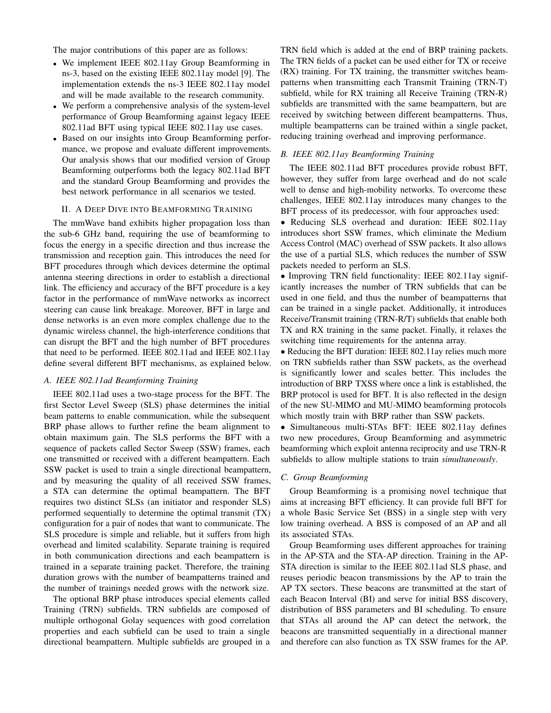The major contributions of this paper are as follows:

- We implement IEEE 802.11ay Group Beamforming in ns-3, based on the existing IEEE 802.11ay model [9]. The implementation extends the ns-3 IEEE 802.11ay model and will be made available to the research community.
- We perform a comprehensive analysis of the system-level performance of Group Beamforming against legacy IEEE 802.11ad BFT using typical IEEE 802.11ay use cases.
- Based on our insights into Group Beamforming performance, we propose and evaluate different improvements. Our analysis shows that our modified version of Group Beamforming outperforms both the legacy 802.11ad BFT and the standard Group Beamforming and provides the best network performance in all scenarios we tested.

## II. A DEEP DIVE INTO BEAMFORMING TRAINING

The mmWave band exhibits higher propagation loss than the sub-6 GHz band, requiring the use of beamforming to focus the energy in a specific direction and thus increase the transmission and reception gain. This introduces the need for BFT procedures through which devices determine the optimal antenna steering directions in order to establish a directional link. The efficiency and accuracy of the BFT procedure is a key factor in the performance of mmWave networks as incorrect steering can cause link breakage. Moreover, BFT in large and dense networks is an even more complex challenge due to the dynamic wireless channel, the high-interference conditions that can disrupt the BFT and the high number of BFT procedures that need to be performed. IEEE 802.11ad and IEEE 802.11ay define several different BFT mechanisms, as explained below.

## *A. IEEE 802.11ad Beamforming Training*

IEEE 802.11ad uses a two-stage process for the BFT. The first Sector Level Sweep (SLS) phase determines the initial beam patterns to enable communication, while the subsequent BRP phase allows to further refine the beam alignment to obtain maximum gain. The SLS performs the BFT with a sequence of packets called Sector Sweep (SSW) frames, each one transmitted or received with a different beampattern. Each SSW packet is used to train a single directional beampattern, and by measuring the quality of all received SSW frames, a STA can determine the optimal beampattern. The BFT requires two distinct SLSs (an initiator and responder SLS) performed sequentially to determine the optimal transmit (TX) configuration for a pair of nodes that want to communicate. The SLS procedure is simple and reliable, but it suffers from high overhead and limited scalability. Separate training is required in both communication directions and each beampattern is trained in a separate training packet. Therefore, the training duration grows with the number of beampatterns trained and the number of trainings needed grows with the network size.

The optional BRP phase introduces special elements called Training (TRN) subfields. TRN subfields are composed of multiple orthogonal Golay sequences with good correlation properties and each subfield can be used to train a single directional beampattern. Multiple subfields are grouped in a TRN field which is added at the end of BRP training packets. The TRN fields of a packet can be used either for TX or receive (RX) training. For TX training, the transmitter switches beampatterns when transmitting each Transmit Training (TRN-T) subfield, while for RX training all Receive Training (TRN-R) subfields are transmitted with the same beampattern, but are received by switching between different beampatterns. Thus, multiple beampatterns can be trained within a single packet, reducing training overhead and improving performance.

# *B. IEEE 802.11ay Beamforming Training*

The IEEE 802.11ad BFT procedures provide robust BFT, however, they suffer from large overhead and do not scale well to dense and high-mobility networks. To overcome these challenges, IEEE 802.11ay introduces many changes to the BFT process of its predecessor, with four approaches used:

• Reducing SLS overhead and duration: IEEE 802.11ay introduces short SSW frames, which eliminate the Medium Access Control (MAC) overhead of SSW packets. It also allows the use of a partial SLS, which reduces the number of SSW packets needed to perform an SLS.

• Improving TRN field functionality: IEEE 802.11ay significantly increases the number of TRN subfields that can be used in one field, and thus the number of beampatterns that can be trained in a single packet. Additionally, it introduces Receive/Transmit training (TRN-R/T) subfields that enable both TX and RX training in the same packet. Finally, it relaxes the switching time requirements for the antenna array.

• Reducing the BFT duration: IEEE 802.11ay relies much more on TRN subfields rather than SSW packets, as the overhead is significantly lower and scales better. This includes the introduction of BRP TXSS where once a link is established, the BRP protocol is used for BFT. It is also reflected in the design of the new SU-MIMO and MU-MIMO beamforming protocols which mostly train with BRP rather than SSW packets.

• Simultaneous multi-STAs BFT: IEEE 802.11ay defines two new procedures, Group Beamforming and asymmetric beamforming which exploit antenna reciprocity and use TRN-R subfields to allow multiple stations to train *simultaneously*.

#### *C. Group Beamforming*

Group Beamforming is a promising novel technique that aims at increasing BFT efficiency. It can provide full BFT for a whole Basic Service Set (BSS) in a single step with very low training overhead. A BSS is composed of an AP and all its associated STAs.

Group Beamforming uses different approaches for training in the AP-STA and the STA-AP direction. Training in the AP-STA direction is similar to the IEEE 802.11ad SLS phase, and reuses periodic beacon transmissions by the AP to train the AP TX sectors. These beacons are transmitted at the start of each Beacon Interval (BI) and serve for initial BSS discovery, distribution of BSS parameters and BI scheduling. To ensure that STAs all around the AP can detect the network, the beacons are transmitted sequentially in a directional manner and therefore can also function as TX SSW frames for the AP.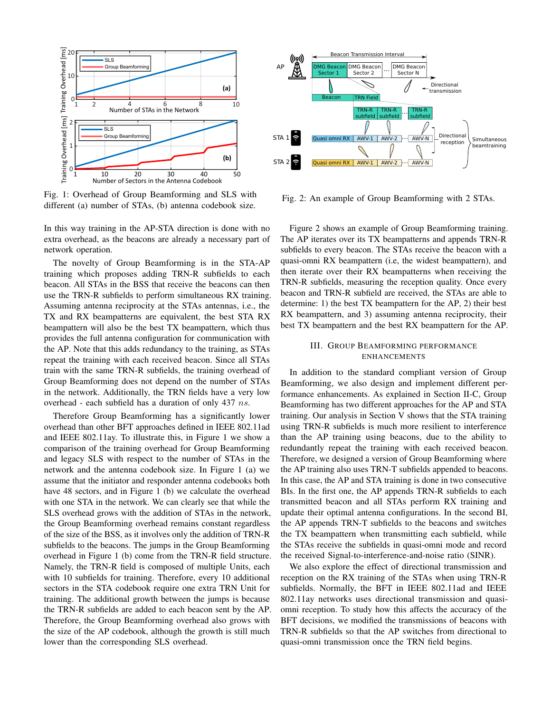

Fig. 1: Overhead of Group Beamforming and SLS with different (a) number of STAs, (b) antenna codebook size.

In this way training in the AP-STA direction is done with no extra overhead, as the beacons are already a necessary part of network operation.

The novelty of Group Beamforming is in the STA-AP training which proposes adding TRN-R subfields to each beacon. All STAs in the BSS that receive the beacons can then use the TRN-R subfields to perform simultaneous RX training. Assuming antenna reciprocity at the STAs antennas, i.e., the TX and RX beampatterns are equivalent, the best STA RX beampattern will also be the best TX beampattern, which thus provides the full antenna configuration for communication with the AP. Note that this adds redundancy to the training, as STAs repeat the training with each received beacon. Since all STAs train with the same TRN-R subfields, the training overhead of Group Beamforming does not depend on the number of STAs in the network. Additionally, the TRN fields have a very low overhead - each subfield has a duration of only 437 ns.

Therefore Group Beamforming has a significantly lower overhead than other BFT approaches defined in IEEE 802.11ad and IEEE 802.11ay. To illustrate this, in Figure 1 we show a comparison of the training overhead for Group Beamforming and legacy SLS with respect to the number of STAs in the network and the antenna codebook size. In Figure 1 (a) we assume that the initiator and responder antenna codebooks both have 48 sectors, and in Figure 1 (b) we calculate the overhead with one STA in the network. We can clearly see that while the SLS overhead grows with the addition of STAs in the network, the Group Beamforming overhead remains constant regardless of the size of the BSS, as it involves only the addition of TRN-R subfields to the beacons. The jumps in the Group Beamforming overhead in Figure 1 (b) come from the TRN-R field structure. Namely, the TRN-R field is composed of multiple Units, each with 10 subfields for training. Therefore, every 10 additional sectors in the STA codebook require one extra TRN Unit for training. The additional growth between the jumps is because the TRN-R subfields are added to each beacon sent by the AP. Therefore, the Group Beamforming overhead also grows with the size of the AP codebook, although the growth is still much lower than the corresponding SLS overhead.



Fig. 2: An example of Group Beamforming with 2 STAs.

Figure 2 shows an example of Group Beamforming training. The AP iterates over its TX beampatterns and appends TRN-R subfields to every beacon. The STAs receive the beacon with a quasi-omni RX beampattern (i.e, the widest beampattern), and then iterate over their RX beampatterns when receiving the TRN-R subfields, measuring the reception quality. Once every beacon and TRN-R subfield are received, the STAs are able to determine: 1) the best TX beampattern for the AP, 2) their best RX beampattern, and 3) assuming antenna reciprocity, their best TX beampattern and the best RX beampattern for the AP.

## III. GROUP BEAMFORMING PERFORMANCE ENHANCEMENTS

In addition to the standard compliant version of Group Beamforming, we also design and implement different performance enhancements. As explained in Section II-C, Group Beamforming has two different approaches for the AP and STA training. Our analysis in Section V shows that the STA training using TRN-R subfields is much more resilient to interference than the AP training using beacons, due to the ability to redundantly repeat the training with each received beacon. Therefore, we designed a version of Group Beamforming where the AP training also uses TRN-T subfields appended to beacons. In this case, the AP and STA training is done in two consecutive BIs. In the first one, the AP appends TRN-R subfields to each transmitted beacon and all STAs perform RX training and update their optimal antenna configurations. In the second BI, the AP appends TRN-T subfields to the beacons and switches the TX beampattern when transmitting each subfield, while the STAs receive the subfields in quasi-omni mode and record the received Signal-to-interference-and-noise ratio (SINR).

We also explore the effect of directional transmission and reception on the RX training of the STAs when using TRN-R subfields. Normally, the BFT in IEEE 802.11ad and IEEE 802.11ay networks uses directional transmission and quasiomni reception. To study how this affects the accuracy of the BFT decisions, we modified the transmissions of beacons with TRN-R subfields so that the AP switches from directional to quasi-omni transmission once the TRN field begins.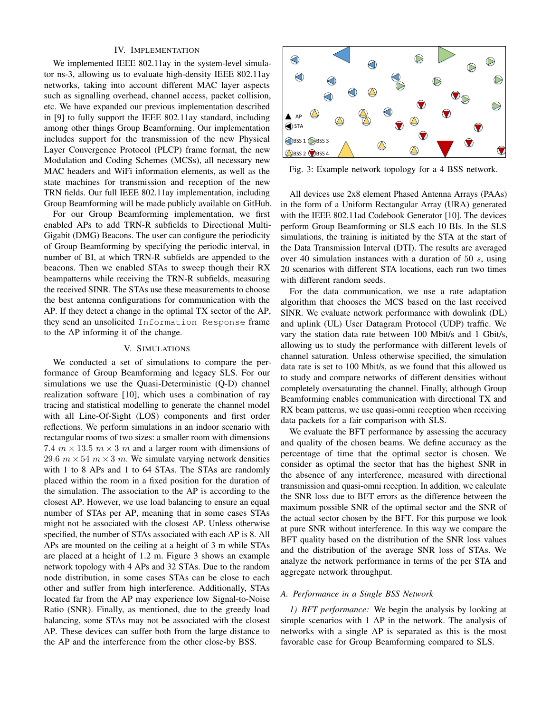## IV. IMPLEMENTATION

We implemented IEEE 802.11ay in the system-level simulator ns-3, allowing us to evaluate high-density IEEE 802.11ay networks, taking into account different MAC layer aspects such as signalling overhead, channel access, packet collision, etc. We have expanded our previous implementation described in [9] to fully support the IEEE 802.11ay standard, including among other things Group Beamforming. Our implementation includes support for the transmission of the new Physical Layer Convergence Protocol (PLCP) frame format, the new Modulation and Coding Schemes (MCSs), all necessary new MAC headers and WiFi information elements, as well as the state machines for transmission and reception of the new TRN fields. Our full IEEE 802.11ay implementation, including Group Beamforming will be made publicly available on GitHub.

For our Group Beamforming implementation, we first enabled APs to add TRN-R subfields to Directional Multi-Gigabit (DMG) Beacons. The user can configure the periodicity of Group Beamforming by specifying the periodic interval, in number of BI, at which TRN-R subfields are appended to the beacons. Then we enabled STAs to sweep though their RX beampatterns while receiving the TRN-R subfields, measuring the received SINR. The STAs use these measurements to choose the best antenna configurations for communication with the AP. If they detect a change in the optimal TX sector of the AP, they send an unsolicited Information Response frame to the AP informing it of the change.

#### V. SIMULATIONS

We conducted a set of simulations to compare the performance of Group Beamforming and legacy SLS. For our simulations we use the Quasi-Deterministic (Q-D) channel realization software [10], which uses a combination of ray tracing and statistical modelling to generate the channel model with all Line-Of-Sight (LOS) components and first order reflections. We perform simulations in an indoor scenario with rectangular rooms of two sizes: a smaller room with dimensions 7.4  $m \times 13.5$   $m \times 3$  m and a larger room with dimensions of 29.6  $m \times 54$   $m \times 3$  m. We simulate varying network densities with 1 to 8 APs and 1 to 64 STAs. The STAs are randomly placed within the room in a fixed position for the duration of the simulation. The association to the AP is according to the closest AP. However, we use load balancing to ensure an equal number of STAs per AP, meaning that in some cases STAs might not be associated with the closest AP. Unless otherwise specified, the number of STAs associated with each AP is 8. All APs are mounted on the ceiling at a height of 3 m while STAs are placed at a height of 1.2 m. Figure 3 shows an example network topology with 4 APs and 32 STAs. Due to the random node distribution, in some cases STAs can be close to each other and suffer from high interference. Additionally, STAs located far from the AP may experience low Signal-to-Noise Ratio (SNR). Finally, as mentioned, due to the greedy load balancing, some STAs may not be associated with the closest AP. These devices can suffer both from the large distance to the AP and the interference from the other close-by BSS.



Fig. 3: Example network topology for a 4 BSS network.

All devices use 2x8 element Phased Antenna Arrays (PAAs) in the form of a Uniform Rectangular Array (URA) generated with the IEEE 802.11ad Codebook Generator [10]. The devices perform Group Beamforming or SLS each 10 BIs. In the SLS simulations, the training is initiated by the STA at the start of the Data Transmission Interval (DTI). The results are averaged over 40 simulation instances with a duration of 50 s, using 20 scenarios with different STA locations, each run two times with different random seeds.

For the data communication, we use a rate adaptation algorithm that chooses the MCS based on the last received SINR. We evaluate network performance with downlink (DL) and uplink (UL) User Datagram Protocol (UDP) traffic. We vary the station data rate between 100 Mbit/s and 1 Gbit/s, allowing us to study the performance with different levels of channel saturation. Unless otherwise specified, the simulation data rate is set to 100 Mbit/s, as we found that this allowed us to study and compare networks of different densities without completely oversaturating the channel. Finally, although Group Beamforming enables communication with directional TX and RX beam patterns, we use quasi-omni reception when receiving data packets for a fair comparison with SLS.

We evaluate the BFT performance by assessing the accuracy and quality of the chosen beams. We define accuracy as the percentage of time that the optimal sector is chosen. We consider as optimal the sector that has the highest SNR in the absence of any interference, measured with directional transmission and quasi-omni reception. In addition, we calculate the SNR loss due to BFT errors as the difference between the maximum possible SNR of the optimal sector and the SNR of the actual sector chosen by the BFT. For this purpose we look at pure SNR without interference. In this way we compare the BFT quality based on the distribution of the SNR loss values and the distribution of the average SNR loss of STAs. We analyze the network performance in terms of the per STA and aggregate network throughput.

#### *A. Performance in a Single BSS Network*

*1) BFT performance:* We begin the analysis by looking at simple scenarios with 1 AP in the network. The analysis of networks with a single AP is separated as this is the most favorable case for Group Beamforming compared to SLS.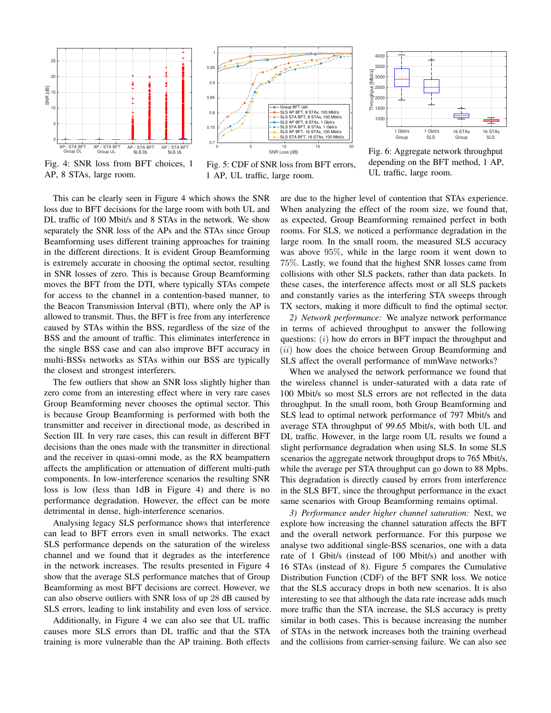

Fig. 4: SNR loss from BFT choices, 1 AP, 8 STAs, large room.





Fig. 5: CDF of SNR loss from BFT errors, 1 AP, UL traffic, large room.

Fig. 6: Aggregate network throughput depending on the BFT method, 1 AP, UL traffic, large room.

This can be clearly seen in Figure 4 which shows the SNR loss due to BFT decisions for the large room with both UL and DL traffic of 100 Mbit/s and 8 STAs in the network. We show separately the SNR loss of the APs and the STAs since Group Beamforming uses different training approaches for training in the different directions. It is evident Group Beamforming is extremely accurate in choosing the optimal sector, resulting in SNR losses of zero. This is because Group Beamforming moves the BFT from the DTI, where typically STAs compete for access to the channel in a contention-based manner, to the Beacon Transmission Interval (BTI), where only the AP is allowed to transmit. Thus, the BFT is free from any interference caused by STAs within the BSS, regardless of the size of the BSS and the amount of traffic. This eliminates interference in the single BSS case and can also improve BFT accuracy in multi-BSSs networks as STAs within our BSS are typically the closest and strongest interferers.

The few outliers that show an SNR loss slightly higher than zero come from an interesting effect where in very rare cases Group Beamforming never chooses the optimal sector. This is because Group Beamforming is performed with both the transmitter and receiver in directional mode, as described in Section III. In very rare cases, this can result in different BFT decisions than the ones made with the transmitter in directional and the receiver in quasi-omni mode, as the RX beampattern affects the amplification or attenuation of different multi-path components. In low-interference scenarios the resulting SNR loss is low (less than 1dB in Figure 4) and there is no performance degradation. However, the effect can be more detrimental in dense, high-interference scenarios.

Analysing legacy SLS performance shows that interference can lead to BFT errors even in small networks. The exact SLS performance depends on the saturation of the wireless channel and we found that it degrades as the interference in the network increases. The results presented in Figure 4 show that the average SLS performance matches that of Group Beamforming as most BFT decisions are correct. However, we can also observe outliers with SNR loss of up 28 dB caused by SLS errors, leading to link instability and even loss of service.

Additionally, in Figure 4 we can also see that UL traffic causes more SLS errors than DL traffic and that the STA training is more vulnerable than the AP training. Both effects are due to the higher level of contention that STAs experience. When analyzing the effect of the room size, we found that, as expected, Group Beamforming remained perfect in both rooms. For SLS, we noticed a performance degradation in the large room. In the small room, the measured SLS accuracy was above 95%, while in the large room it went down to 75%. Lastly, we found that the highest SNR losses came from collisions with other SLS packets, rather than data packets. In these cases, the interference affects most or all SLS packets and constantly varies as the interfering STA sweeps through TX sectors, making it more difficult to find the optimal sector.

*2) Network performance:* We analyze network performance in terms of achieved throughput to answer the following questions: (*i*) how do errors in BFT impact the throughput and (ii) how does the choice between Group Beamforming and SLS affect the overall performance of mmWave networks?

When we analysed the network performance we found that the wireless channel is under-saturated with a data rate of 100 Mbit/s so most SLS errors are not reflected in the data throughput. In the small room, both Group Beamforming and SLS lead to optimal network performance of 797 Mbit/s and average STA throughput of 99.65 Mbit/s, with both UL and DL traffic. However, in the large room UL results we found a slight performance degradation when using SLS. In some SLS scenarios the aggregate network throughput drops to 765 Mbit/s, while the average per STA throughput can go down to 88 Mpbs. This degradation is directly caused by errors from interference in the SLS BFT, since the throughput performance in the exact same scenarios with Group Beamforming remains optimal.

*3) Performance under higher channel saturation:* Next, we explore how increasing the channel saturation affects the BFT and the overall network performance. For this purpose we analyse two additional single-BSS scenarios, one with a data rate of 1 Gbit/s (instead of 100 Mbit/s) and another with 16 STAs (instead of 8). Figure 5 compares the Cumulative Distribution Function (CDF) of the BFT SNR loss. We notice that the SLS accuracy drops in both new scenarios. It is also interesting to see that although the data rate increase adds much more traffic than the STA increase, the SLS accuracy is pretty similar in both cases. This is because increasing the number of STAs in the network increases both the training overhead and the collisions from carrier-sensing failure. We can also see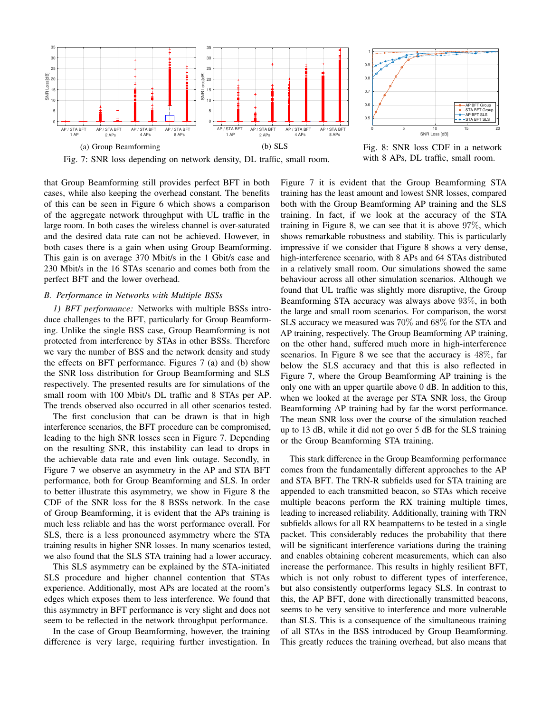



Fig. 7: SNR loss depending on network density, DL traffic, small room.

that Group Beamforming still provides perfect BFT in both cases, while also keeping the overhead constant. The benefits of this can be seen in Figure 6 which shows a comparison of the aggregate network throughput with UL traffic in the large room. In both cases the wireless channel is over-saturated and the desired data rate can not be achieved. However, in both cases there is a gain when using Group Beamforming. This gain is on average 370 Mbit/s in the 1 Gbit/s case and 230 Mbit/s in the 16 STAs scenario and comes both from the perfect BFT and the lower overhead.

## *B. Performance in Networks with Multiple BSSs*

*1) BFT performance:* Networks with multiple BSSs introduce challenges to the BFT, particularly for Group Beamforming. Unlike the single BSS case, Group Beamforming is not protected from interference by STAs in other BSSs. Therefore we vary the number of BSS and the network density and study the effects on BFT performance. Figures 7 (a) and (b) show the SNR loss distribution for Group Beamforming and SLS respectively. The presented results are for simulations of the small room with 100 Mbit/s DL traffic and 8 STAs per AP. The trends observed also occurred in all other scenarios tested.

The first conclusion that can be drawn is that in high interference scenarios, the BFT procedure can be compromised, leading to the high SNR losses seen in Figure 7. Depending on the resulting SNR, this instability can lead to drops in the achievable data rate and even link outage. Secondly, in Figure 7 we observe an asymmetry in the AP and STA BFT performance, both for Group Beamforming and SLS. In order to better illustrate this asymmetry, we show in Figure 8 the CDF of the SNR loss for the 8 BSSs network. In the case of Group Beamforming, it is evident that the APs training is much less reliable and has the worst performance overall. For SLS, there is a less pronounced asymmetry where the STA training results in higher SNR losses. In many scenarios tested, we also found that the SLS STA training had a lower accuracy.

This SLS asymmetry can be explained by the STA-initiated SLS procedure and higher channel contention that STAs experience. Additionally, most APs are located at the room's edges which exposes them to less interference. We found that this asymmetry in BFT performance is very slight and does not seem to be reflected in the network throughput performance.

In the case of Group Beamforming, however, the training difference is very large, requiring further investigation. In

Fig. 8: SNR loss CDF in a network with 8 APs, DL traffic, small room.

Figure 7 it is evident that the Group Beamforming STA training has the least amount and lowest SNR losses, compared both with the Group Beamforming AP training and the SLS training. In fact, if we look at the accuracy of the STA training in Figure 8, we can see that it is above 97%, which shows remarkable robustness and stability. This is particularly impressive if we consider that Figure 8 shows a very dense, high-interference scenario, with 8 APs and 64 STAs distributed in a relatively small room. Our simulations showed the same behaviour across all other simulation scenarios. Although we found that UL traffic was slightly more disruptive, the Group Beamforming STA accuracy was always above 93%, in both the large and small room scenarios. For comparison, the worst SLS accuracy we measured was 70% and 68% for the STA and AP training, respectively. The Group Beamforming AP training, on the other hand, suffered much more in high-interference scenarios. In Figure 8 we see that the accuracy is 48%, far below the SLS accuracy and that this is also reflected in Figure 7, where the Group Beamforming AP training is the only one with an upper quartile above 0 dB. In addition to this, when we looked at the average per STA SNR loss, the Group Beamforming AP training had by far the worst performance. The mean SNR loss over the course of the simulation reached up to 13 dB, while it did not go over 5 dB for the SLS training or the Group Beamforming STA training.

This stark difference in the Group Beamforming performance comes from the fundamentally different approaches to the AP and STA BFT. The TRN-R subfields used for STA training are appended to each transmitted beacon, so STAs which receive multiple beacons perform the RX training multiple times, leading to increased reliability. Additionally, training with TRN subfields allows for all RX beampatterns to be tested in a single packet. This considerably reduces the probability that there will be significant interference variations during the training and enables obtaining coherent measurements, which can also increase the performance. This results in highly resilient BFT, which is not only robust to different types of interference, but also consistently outperforms legacy SLS. In contrast to this, the AP BFT, done with directionally transmitted beacons, seems to be very sensitive to interference and more vulnerable than SLS. This is a consequence of the simultaneous training of all STAs in the BSS introduced by Group Beamforming. This greatly reduces the training overhead, but also means that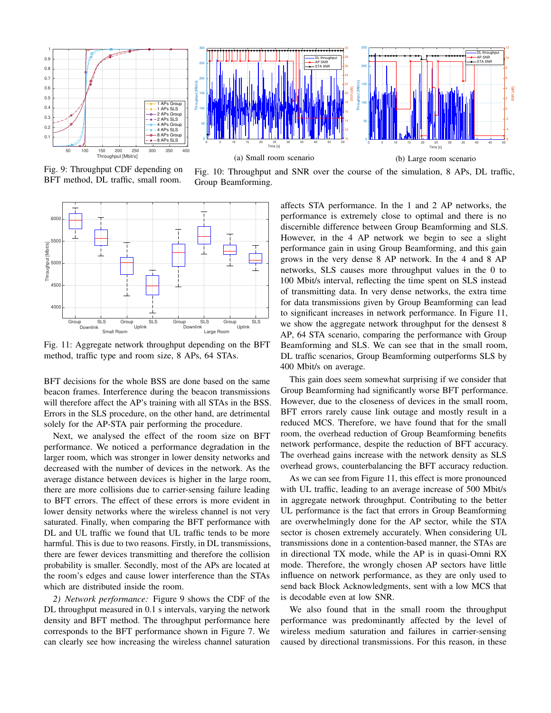



Fig. 9: Throughput CDF depending on BFT method, DL traffic, small room.

Fig. 10: Throughput and SNR over the course of the simulation, 8 APs, DL traffic, Group Beamforming.



Fig. 11: Aggregate network throughput depending on the BFT method, traffic type and room size, 8 APs, 64 STAs.

BFT decisions for the whole BSS are done based on the same beacon frames. Interference during the beacon transmissions will therefore affect the AP's training with all STAs in the BSS. Errors in the SLS procedure, on the other hand, are detrimental solely for the AP-STA pair performing the procedure.

Next, we analysed the effect of the room size on BFT performance. We noticed a performance degradation in the larger room, which was stronger in lower density networks and decreased with the number of devices in the network. As the average distance between devices is higher in the large room, there are more collisions due to carrier-sensing failure leading to BFT errors. The effect of these errors is more evident in lower density networks where the wireless channel is not very saturated. Finally, when comparing the BFT performance with DL and UL traffic we found that UL traffic tends to be more harmful. This is due to two reasons. Firstly, in DL transmissions, there are fewer devices transmitting and therefore the collision probability is smaller. Secondly, most of the APs are located at the room's edges and cause lower interference than the STAs which are distributed inside the room.

*2) Network performance:* Figure 9 shows the CDF of the DL throughput measured in 0.1 s intervals, varying the network density and BFT method. The throughput performance here corresponds to the BFT performance shown in Figure 7. We can clearly see how increasing the wireless channel saturation

affects STA performance. In the 1 and 2 AP networks, the performance is extremely close to optimal and there is no discernible difference between Group Beamforming and SLS. However, in the 4 AP network we begin to see a slight performance gain in using Group Beamforming, and this gain grows in the very dense 8 AP network. In the 4 and 8 AP networks, SLS causes more throughput values in the 0 to 100 Mbit/s interval, reflecting the time spent on SLS instead of transmitting data. In very dense networks, the extra time for data transmissions given by Group Beamforming can lead to significant increases in network performance. In Figure 11, we show the aggregate network throughput for the densest 8 AP, 64 STA scenario, comparing the performance with Group Beamforming and SLS. We can see that in the small room, DL traffic scenarios, Group Beamforming outperforms SLS by 400 Mbit/s on average.

This gain does seem somewhat surprising if we consider that Group Beamforming had significantly worse BFT performance. However, due to the closeness of devices in the small room, BFT errors rarely cause link outage and mostly result in a reduced MCS. Therefore, we have found that for the small room, the overhead reduction of Group Beamforming benefits network performance, despite the reduction of BFT accuracy. The overhead gains increase with the network density as SLS overhead grows, counterbalancing the BFT accuracy reduction.

As we can see from Figure 11, this effect is more pronounced with UL traffic, leading to an average increase of 500 Mbit/s in aggregate network throughput. Contributing to the better UL performance is the fact that errors in Group Beamforming are overwhelmingly done for the AP sector, while the STA sector is chosen extremely accurately. When considering UL transmissions done in a contention-based manner, the STAs are in directional TX mode, while the AP is in quasi-Omni RX mode. Therefore, the wrongly chosen AP sectors have little influence on network performance, as they are only used to send back Block Acknowledgments, sent with a low MCS that is decodable even at low SNR.

We also found that in the small room the throughput performance was predominantly affected by the level of wireless medium saturation and failures in carrier-sensing caused by directional transmissions. For this reason, in these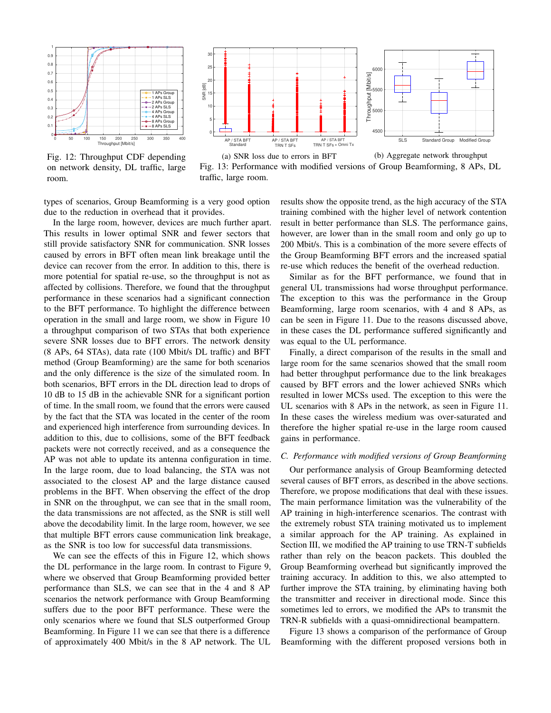

Fig. 12: Throughput CDF depending on network density, DL traffic, large room.



Fig. 13: Performance with modified versions of Group Beamforming, 8 APs, DL traffic, large room.

types of scenarios, Group Beamforming is a very good option due to the reduction in overhead that it provides.

In the large room, however, devices are much further apart. This results in lower optimal SNR and fewer sectors that still provide satisfactory SNR for communication. SNR losses caused by errors in BFT often mean link breakage until the device can recover from the error. In addition to this, there is more potential for spatial re-use, so the throughput is not as affected by collisions. Therefore, we found that the throughput performance in these scenarios had a significant connection to the BFT performance. To highlight the difference between operation in the small and large room, we show in Figure 10 a throughput comparison of two STAs that both experience severe SNR losses due to BFT errors. The network density (8 APs, 64 STAs), data rate (100 Mbit/s DL traffic) and BFT method (Group Beamforming) are the same for both scenarios and the only difference is the size of the simulated room. In both scenarios, BFT errors in the DL direction lead to drops of 10 dB to 15 dB in the achievable SNR for a significant portion of time. In the small room, we found that the errors were caused by the fact that the STA was located in the center of the room and experienced high interference from surrounding devices. In addition to this, due to collisions, some of the BFT feedback packets were not correctly received, and as a consequence the AP was not able to update its antenna configuration in time. In the large room, due to load balancing, the STA was not associated to the closest AP and the large distance caused problems in the BFT. When observing the effect of the drop in SNR on the throughput, we can see that in the small room, the data transmissions are not affected, as the SNR is still well above the decodability limit. In the large room, however, we see that multiple BFT errors cause communication link breakage, as the SNR is too low for successful data transmissions.

We can see the effects of this in Figure 12, which shows the DL performance in the large room. In contrast to Figure 9, where we observed that Group Beamforming provided better performance than SLS, we can see that in the 4 and 8 AP scenarios the network performance with Group Beamforming suffers due to the poor BFT performance. These were the only scenarios where we found that SLS outperformed Group Beamforming. In Figure 11 we can see that there is a difference of approximately 400 Mbit/s in the 8 AP network. The UL results show the opposite trend, as the high accuracy of the STA training combined with the higher level of network contention result in better performance than SLS. The performance gains, however, are lower than in the small room and only go up to 200 Mbit/s. This is a combination of the more severe effects of the Group Beamforming BFT errors and the increased spatial re-use which reduces the benefit of the overhead reduction.

Similar as for the BFT performance, we found that in general UL transmissions had worse throughput performance. The exception to this was the performance in the Group Beamforming, large room scenarios, with 4 and 8 APs, as can be seen in Figure 11. Due to the reasons discussed above, in these cases the DL performance suffered significantly and was equal to the UL performance.

Finally, a direct comparison of the results in the small and large room for the same scenarios showed that the small room had better throughput performance due to the link breakages caused by BFT errors and the lower achieved SNRs which resulted in lower MCSs used. The exception to this were the UL scenarios with 8 APs in the network, as seen in Figure 11. In these cases the wireless medium was over-saturated and therefore the higher spatial re-use in the large room caused gains in performance.

#### *C. Performance with modified versions of Group Beamforming*

Our performance analysis of Group Beamforming detected several causes of BFT errors, as described in the above sections. Therefore, we propose modifications that deal with these issues. The main performance limitation was the vulnerability of the AP training in high-interference scenarios. The contrast with the extremely robust STA training motivated us to implement a similar approach for the AP training. As explained in Section III, we modified the AP training to use TRN-T subfields rather than rely on the beacon packets. This doubled the Group Beamforming overhead but significantly improved the training accuracy. In addition to this, we also attempted to further improve the STA training, by eliminating having both the transmitter and receiver in directional mode. Since this sometimes led to errors, we modified the APs to transmit the TRN-R subfields with a quasi-omnidirectional beampattern.

Figure 13 shows a comparison of the performance of Group Beamforming with the different proposed versions both in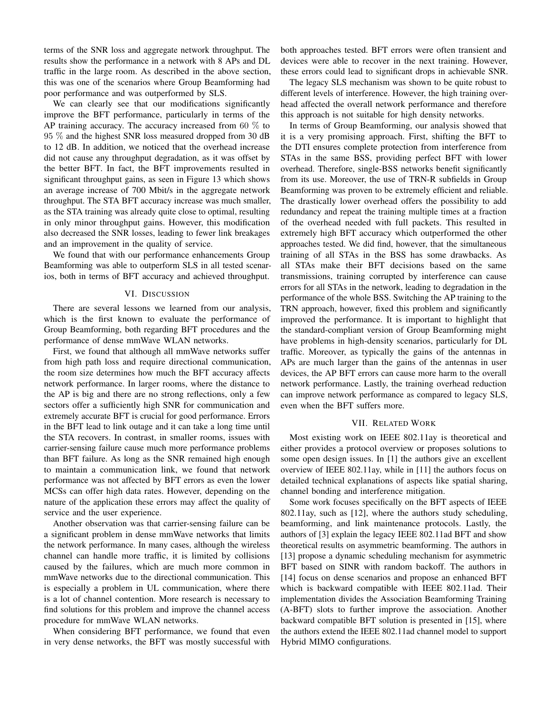terms of the SNR loss and aggregate network throughput. The results show the performance in a network with 8 APs and DL traffic in the large room. As described in the above section, this was one of the scenarios where Group Beamforming had poor performance and was outperformed by SLS.

We can clearly see that our modifications significantly improve the BFT performance, particularly in terms of the AP training accuracy. The accuracy increased from 60  $\%$  to 95 % and the highest SNR loss measured dropped from 30 dB to 12 dB. In addition, we noticed that the overhead increase did not cause any throughput degradation, as it was offset by the better BFT. In fact, the BFT improvements resulted in significant throughput gains, as seen in Figure 13 which shows an average increase of 700 Mbit/s in the aggregate network throughput. The STA BFT accuracy increase was much smaller, as the STA training was already quite close to optimal, resulting in only minor throughput gains. However, this modification also decreased the SNR losses, leading to fewer link breakages and an improvement in the quality of service.

We found that with our performance enhancements Group Beamforming was able to outperform SLS in all tested scenarios, both in terms of BFT accuracy and achieved throughput.

#### VI. DISCUSSION

There are several lessons we learned from our analysis, which is the first known to evaluate the performance of Group Beamforming, both regarding BFT procedures and the performance of dense mmWave WLAN networks.

First, we found that although all mmWave networks suffer from high path loss and require directional communication, the room size determines how much the BFT accuracy affects network performance. In larger rooms, where the distance to the AP is big and there are no strong reflections, only a few sectors offer a sufficiently high SNR for communication and extremely accurate BFT is crucial for good performance. Errors in the BFT lead to link outage and it can take a long time until the STA recovers. In contrast, in smaller rooms, issues with carrier-sensing failure cause much more performance problems than BFT failure. As long as the SNR remained high enough to maintain a communication link, we found that network performance was not affected by BFT errors as even the lower MCSs can offer high data rates. However, depending on the nature of the application these errors may affect the quality of service and the user experience.

Another observation was that carrier-sensing failure can be a significant problem in dense mmWave networks that limits the network performance. In many cases, although the wireless channel can handle more traffic, it is limited by collisions caused by the failures, which are much more common in mmWave networks due to the directional communication. This is especially a problem in UL communication, where there is a lot of channel contention. More research is necessary to find solutions for this problem and improve the channel access procedure for mmWave WLAN networks.

When considering BFT performance, we found that even in very dense networks, the BFT was mostly successful with both approaches tested. BFT errors were often transient and devices were able to recover in the next training. However, these errors could lead to significant drops in achievable SNR.

The legacy SLS mechanism was shown to be quite robust to different levels of interference. However, the high training overhead affected the overall network performance and therefore this approach is not suitable for high density networks.

In terms of Group Beamforming, our analysis showed that it is a very promising approach. First, shifting the BFT to the DTI ensures complete protection from interference from STAs in the same BSS, providing perfect BFT with lower overhead. Therefore, single-BSS networks benefit significantly from its use. Moreover, the use of TRN-R subfields in Group Beamforming was proven to be extremely efficient and reliable. The drastically lower overhead offers the possibility to add redundancy and repeat the training multiple times at a fraction of the overhead needed with full packets. This resulted in extremely high BFT accuracy which outperformed the other approaches tested. We did find, however, that the simultaneous training of all STAs in the BSS has some drawbacks. As all STAs make their BFT decisions based on the same transmissions, training corrupted by interference can cause errors for all STAs in the network, leading to degradation in the performance of the whole BSS. Switching the AP training to the TRN approach, however, fixed this problem and significantly improved the performance. It is important to highlight that the standard-compliant version of Group Beamforming might have problems in high-density scenarios, particularly for DL traffic. Moreover, as typically the gains of the antennas in APs are much larger than the gains of the antennas in user devices, the AP BFT errors can cause more harm to the overall network performance. Lastly, the training overhead reduction can improve network performance as compared to legacy SLS, even when the BFT suffers more.

#### VII. RELATED WORK

Most existing work on IEEE 802.11ay is theoretical and either provides a protocol overview or proposes solutions to some open design issues. In [1] the authors give an excellent overview of IEEE 802.11ay, while in [11] the authors focus on detailed technical explanations of aspects like spatial sharing, channel bonding and interference mitigation.

Some work focuses specifically on the BFT aspects of IEEE 802.11ay, such as [12], where the authors study scheduling, beamforming, and link maintenance protocols. Lastly, the authors of [3] explain the legacy IEEE 802.11ad BFT and show theoretical results on asymmetric beamforming. The authors in [13] propose a dynamic scheduling mechanism for asymmetric BFT based on SINR with random backoff. The authors in [14] focus on dense scenarios and propose an enhanced BFT which is backward compatible with IEEE 802.11ad. Their implementation divides the Association Beamforming Training (A-BFT) slots to further improve the association. Another backward compatible BFT solution is presented in [15], where the authors extend the IEEE 802.11ad channel model to support Hybrid MIMO configurations.